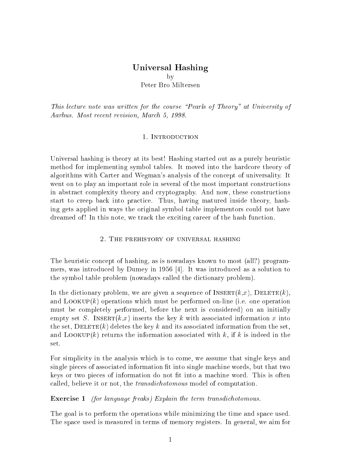## $\sim$  100  $\sim$  100  $\sim$  100  $\sim$  100  $\sim$  100  $\sim$  100  $\sim$ by Peter Bro Miltersen

This lecture note was written for the course "Pearls of Theory" at University of Aarhus. Most recent revision, March 5, 1998.

Universal hashing is theory at its best! Hashing started out as a purely heuristic method for implementing symbol tables. It moved into the hardcore theory of algorithms with Carter and Wegman's analysis of the concept of universality. It went on to play an important role in several of the most important constructions in abstract complexity theory and cryptography. And now, these constructions start to creep back into practice. Thus, having matured inside theory, hashing gets applied in ways the original symbol table implementors could not have dreamed of! In this note, we track the exciting career of the hash function.

#### 2. The prehistory of universal hashing

The heuristic concept of hashing, as is nowadays known to most (all?) programmers, was introduced by Dumey in 1956 [4]. It was introduced as a solution to the symbol table problem (nowadays called the dictionary problem).

In the dictionary problem, we are given a sequence of  $INSERT(k,x)$ ,  $DELETE(k)$ . and  $Loop(k)$  operations which must be performed on-line (i.e. one operation must be completely performed, before the next is considered) on an initially empty set S. INSERT $(k, x)$  inserts the key k with associated information x into the set,  $\text{DELETE}(k)$  deletes the key k and its associated information from the set, and LOOKUP(k) returns the information associated with k, if k is indeed in the

For simplicity in the analysis which is to come, we assume that single keys and single pieces of associated information fit into single machine words, but that two keys or two pieces of information do not fit into a machine word. This is often called, believe it or not, the *transdichotomous* model of computation.

### Exercise <sup>1</sup> (for language freaks) Explain the term transdichotomous.

The goal is to perform the operations while minimizing the time and space used. The space used is measured in terms of memory registers. In general, we aim for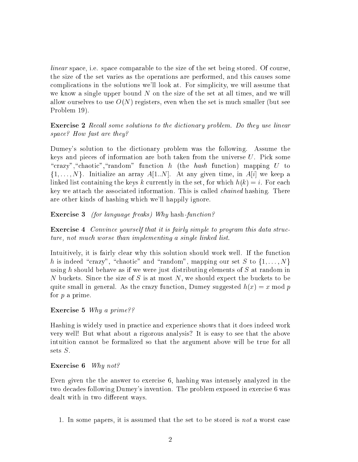linear space, i.e. space comparable to the size of the set being stored. Of course, the size of the set varies as the operations are performed, and this causes some complications in the solutions we'll look at. For simplicity, we will assume that we know a single upper bound  $N$  on the size of the set at all times, and we will allow ourselves to use  $O(N)$  registers, even when the set is much smaller (but see Problem 19).

**Exercise 2** Recall some solutions to the dictionary problem. Do they use linear space? How fast are they?

Dumey's solution to the dictionary problem was the following. Assume the keys and pieces of information are both taken from the universe U. Pick some "crazy", "chaotic", "random" function h (the hash function) mapping  $U$  to  $\{1,\ldots,N\}$ . Initialize an array  $A[1..N]$ . At any given time, in  $A[i]$  we keep a linked list containing the keys k currently in the set, for which  $h(k) = i$ . For each key we attach the associated information. This is called *chained* hashing. There are other kinds of hashing which we'll happily ignore.

Exercise <sup>3</sup> (for language freaks) Why hash-function?

Exercise <sup>4</sup> Convince yourself that it is fairly simple to program this data structure, not much worse than implementing a single linked list.

Intuitively, it is fairly clear why this solution should work well. If the function h is indeed "crazy", "chaotic" and "random", mapping our set S to  $\{1, \ldots, N\}$ using h should behave as if we were just distributing elements of  $S$  at random in N buckets. Since the size of S is at most N, we should expect the buckets to be quite small in general. As the crazy function, Dumey suggested  $h(x) = x \mod p$ for p a prime.

Exercise <sup>5</sup> Why a prime??

Hashing is widely used in practice and experience shows that it does indeed work very well! But what about a rigorous analysis? It is easy to see that the above intuition cannot be formalized so that the argument above will be true for all sets S.

### Exercise 6 Why not?

Even given the the answer to exercise 6, hashing was intensely analyzed in the two decades following Dumey's invention. The problem exposed in exercise 6 was dealt with in two different ways.

1. In some papers, it is assumed that the set to be stored is not a worst case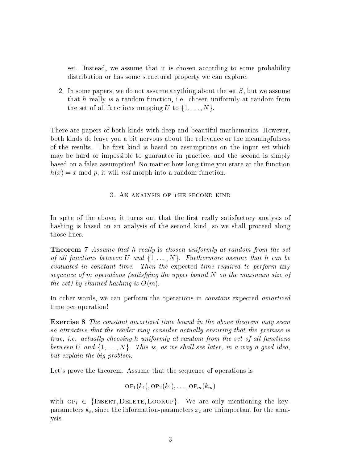set. Instead, we assume that it is chosen according to some probability distribution or has some structural property we can explore.

2. In some papers, we do not assume anything about the set S, but we assume that h really is a random function, i.e. chosen uniformly at random from the set of all functions mapping U to  $\{1, \ldots, N\}$ .

There are papers of both kinds with deep and beautiful mathematics. However, both kinds do leave you a bit nervous about the relevance or the meaningfulness of the results. The first kind is based on assumptions on the input set which may be hard or impossible to guarantee in practice, and the second is simply based on a false assumption! No matter how long time you stare at the function  $h(x) = x \mod p$ , it will not morph into a random function.

#### 3. An analysis of the second kind

In spite of the above, it turns out that the first really satisfactory analysis of hashing is based on an analysis of the second kind, so we shall proceed along those lines.

**Theorem 7** Assume that h really is chosen uniformly at random from the set of all functions between U and  $\{1, \ldots, N\}$ . Furthermore assume that h can be evaluated in constant time. Then the expected time required to perform any sequence of <sup>m</sup> operations (satisfying the upper bound N on the maximum size of the set) by chained hashing is  $O(m)$ .

In other words, we can perform the operations in constant expected amortized time per operation!

Exercise <sup>8</sup> The constant amortized time bound in the above theorem may seem so attractive that the reader may consider actually ensuring that the premise is true, i.e. actually choosing h uniformly at random from the set of all functions between U and  $\{1,\ldots,N\}$ . This is, as we shall see later, in a way a good idea, but explain the big problem.

Let's prove the theorem. Assume that the sequence of operations is

$$
\mathrm{OP}_1(k_1), \mathrm{OP}_2(k_2), \ldots, \mathrm{OP}_m(k_m)
$$

with  $OP_i \in \{I \text{NSERT}, \text{DELETE}, \text{LOOKUP}\}.$  We are only mentioning the keyparameters  $k_i$ , since the information-parameters  $x_i$  are unimportant for the analysis.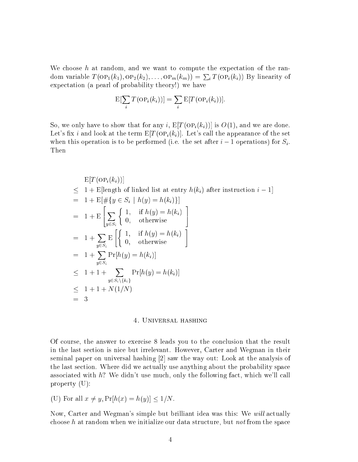We choose  $h$  at random, and we want to compute the expectation of the random variable  $T(\text{OP}_1(k_1),\text{OP}_2(k_2),\ldots,\text{OP}_m(k_m)) = \sum_i T(\text{OP}_i(k_i))$  By linearity of expectation (a pearl of probability theory!) we have

$$
E[\sum_i T(\text{OP}_i(k_i))] = \sum_i E[T(\text{OP}_i(k_i))].
$$

So, we only have to show that for any i,  $E[T(OP_i(k_i))]$  is  $O(1)$ , and we are done. Let's fix i and look at the term  $E[T({\rm OP}_i(k_i)]]$ . Let's call the appearance of the set when this operation is to be performed (i.e. the set after  $i-1$  operations) for  $S_i$ . Then

$$
E[T(\text{OP}_i(k_i))]
$$
  
\n
$$
\leq 1 + E[\text{length of linked list at entry } h(k_i) \text{ after instruction } i - 1]
$$
  
\n
$$
= 1 + E[\#\{y \in S_i \mid h(y) = h(k_i)\}]
$$
  
\n
$$
= 1 + E\left[\sum_{y \in S_i} \begin{cases} 1, & \text{if } h(y) = h(k_i) \\ 0, & \text{otherwise} \end{cases}\right]
$$
  
\n
$$
= 1 + \sum_{y \in S_i} E\left[\begin{cases} 1, & \text{if } h(y) = h(k_i) \\ 0, & \text{otherwise} \end{cases}\right]
$$
  
\n
$$
= 1 + \sum_{y \in S_i} \Pr[h(y) = h(k_i)]
$$
  
\n
$$
\leq 1 + 1 + \sum_{y \in S_i \setminus \{k_i\}} \Pr[h(y) = h(k_i)]
$$
  
\n
$$
= 3
$$

#### 4. UNIVERSAL HASHING

Of course, the answer to exercise 8 leads you to the conclusion that the result in the last section is nice but irrelevant. However, Carter and Wegman in their seminal paper on universal hashing [2] saw the way out: Look at the analysis of the last section. Where did we actually use anything about the probability space associated with h? We didn't use much, only the following fact, which we'll call property (U):

(U) For all 
$$
x \neq y
$$
,  $Pr[h(x) = h(y)] \leq 1/N$ .

Now, Carter and Wegman's simple but brilliant idea was this: We will actually choose h at random when we initialize our data structure, but not from the space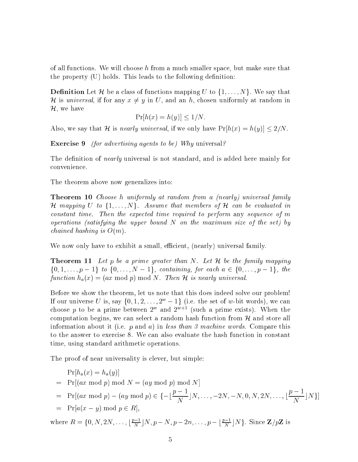of all functions. We will choose h from a much smaller space, but make sure that the property  $(U)$  holds. This leads to the following definition:

**Definition** Let H be a class of functions mapping U to  $\{1, \ldots, N\}$ . We say that H is universal, if for any  $x \neq y$  in U, and an h, chosen uniformly at random in  $\mathcal{H}$ , we have

$$
\Pr[h(x) = h(y)] \le 1/N.
$$

Also, we say that H is *nearly universal*, if we only have  $Pr[h(x) = h(y)] \leq 2/N$ .

Exercise 9 *(for advertising agents to be)* Why universal?

The definition of *nearly* universal is not standard, and is added here mainly for convenience.

The theorem above now generalizes into:

Theorem <sup>10</sup> Choose h uniformly at random from a (nearly) universal family H mapping U to  $\{1,\ldots,N\}$ . Assume that members of H can be evaluated in constant time. Then the expected time required to perform any sequence of m operations (satisfying the upper bound  $N$  on the maximum size of the set) by *chained hashing is*  $O(m)$ .

We now only have to exhibit a small, efficient, (nearly) universal family.

**Theorem 11** Let p be a prime greater than N. Let  $H$  be the family mapping  $\{0, 1, \ldots, p-1\}$  to  $\{0, \ldots, N-1\}$ , containing, for each  $a \in \{0, \ldots, p-1\}$ , the function  $h_a(x) = (ax \mod p) \mod N$ . Then  $H$  is nearly universal.

Before we show the theorem, let us note that this does indeed solve our problem! If our universe U is, say  $\{0, 1, 2, \ldots, 2^w-1\}$  (i.e. the set of w-bit words), we can choose  $p$  to be a prime between 2  $^{\circ}$  and 2  $^{\circ}$  if (such a prime exists). When the computation begins, we can select a random hash function from  $H$  and store all information about it (i.e.  $p$  and  $a$ ) in less than 3 machine words. Compare this to the answer to exercise 8. We can also evaluate the hash function in constant time, using standard arithmetic operations.

The proof of near universality is clever, but simple:

$$
Pr[h_a(x) = h_a(y)]
$$
  
= Pr[(ax mod p) mod N = (ay mod p) mod N]  
= Pr[(ax mod p) - (ay mod p) \in \{-\frac{p-1}{N} | N, ..., -2N, -N, 0, N, 2N, ..., \frac{p-1}{N} | N \}]  
= Pr[a(x - y) mod p \in R],

where  $R = \{0, N, 2N, \ldots, \lfloor \frac{p-1}{N} \rfloor N, p-N, p-2n, \ldots, p-\lfloor \frac{p-1}{N} \rfloor N\}$ . Since  $\mathbf{Z}/p\mathbf{Z}$  is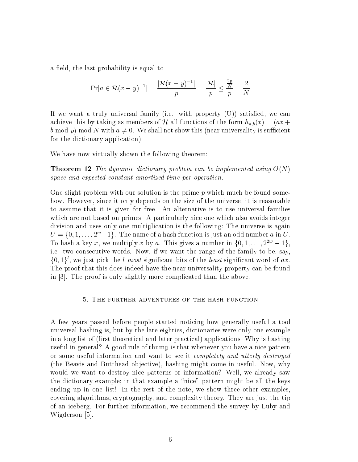a field, the last probability is equal to

$$
\Pr[a \in \mathcal{R}(x-y)^{-1}] = \frac{|\mathcal{R}(x-y)^{-1}|}{p} = \frac{|\mathcal{R}|}{p} \le \frac{\frac{2p}{N}}{p} = \frac{2}{N}
$$

If we want a truly universal family (i.e. with property  $(U)$ ) satisfied, we can achieve this by taking as members of H all functions of the form  $h_{a,b}(x) = (ax +$ b mod p) mod N with  $a \neq 0$ . We shall not show this (near universality is sufficient for the dictionary application).

We have now virtually shown the following theorem:

**Theorem 12** The dynamic dictionary problem can be implemented using  $O(N)$ space and expected constant amortized time per operation.

One slight problem with our solution is the prime  $p$  which much be found somehow. However, since it only depends on the size of the universe, it is reasonable to assume that it is given for free. An alternative is to use universal families which are not based on primes. A particularly nice one which also avoids integer division and uses only one multiplication is the following: The universe is again  $U = \{0, 1, \ldots, 2^w-1\}$ . The name of a hash function is just an odd number a in U. To hash a key x, we multiply x by a. This gives a number in  $\{0, 1, \ldots, 2^{2w} - 1\}$ , i.e. two consecutive words. Now, if we want the range of the family to be, say,  $\{0,1\}^t$ , we just pick the l most significant bits of the least significant word of  $ax$ . The proof that this does indeed have the near universality property can be found in [3]. The proof is only slightly more complicated than the above.

#### 5. THE FURTHER ADVENTURES OF THE HASH FUNCTION

A few years passed before people started noticing how generally useful a tool universal hashing is, but by the late eighties, dictionaries were only one example in a long list of (first theoretical and later practical) applications. Why is hashing useful in general? A good rule of thump is that whenever you have a nice pattern or some useful information and want to see it completely and utterly destroyed (the Beavis and Butthead objective), hashing might come in useful. Now, why would we want to destroy nice patterns or information? Well, we already saw the dictionary example; in that example a \nice" pattern might be all the keys ending up in one list! In the rest of the note, we show three other examples, covering algorithms, cryptography, and complexity theory. They are just the tip of an iceberg. For further information, we recommend the survey by Luby and Wigderson [5].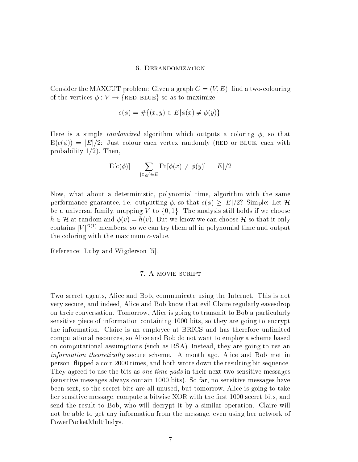### 6. Derandomization

Consider the MAXCUT problem: Given a graph  $G = (V, E)$ , find a two-colouring of the vertices  $\phi: V \to \{RED, BLUE\}$  so as to maximize

$$
c(\phi) = \#\{(x, y) \in E | \phi(x) \neq \phi(y)\}.
$$

Here is a simple *randomized* algorithm which outputs a coloring  $\phi$ , so that  $E(c(\phi)) = |E|/2$ : Just colour each vertex randomly (RED or BLUE, each with probability  $1/2$ ). Then,

$$
E[c(\phi)] = \sum_{\{x,y\} \in E} Pr[\phi(x) \neq \phi(y)] = |E|/2
$$

Now, what about a deterministic, polynomial time, algorithm with the same performance guarantee, i.e. outputting  $\phi$ , so that  $c(\phi) > |E|/2$ ? Simple: Let H be a universal family, mapping V to  $\{0,1\}$ . The analysis still holds if we choose  $h \in \mathcal{H}$  at random and  $\phi(v) = h(v)$ . But we know we can choose  $\mathcal{H}$  so that it only contains  $|V|^{O(1)}$  members, so we can try them all in polynomial time and output the coloring with the maximum  $c$ -value.

Reference: Luby and Wigderson [5].

#### 7. A MOVIE SCRIPT

Two secret agents, Alice and Bob, communicate using the Internet. This is not very secure, and indeed, Alice and Bob know that evil Claire regularly eavesdrop on their conversation. Tomorrow, Alice is going to transmit to Bob a particularly sensitive piece of information containing 1000 bits, so they are going to encrypt the information. Claire is an employee at BRICS and has therefore unlimited computational resources, so Alice and Bob do not want to employ a scheme based on computational assumptions (such as RSA). Instead, they are going to use an information theoretically secure scheme. A month ago, Alice and Bob met in person, ipped a coin 2000 times, and both wrote down the resulting bit sequence. They agreed to use the bits as *one time pads* in their next two sensitive messages (sensitive messages always contain 1000 bits). So far, no sensitive messages have been sent, so the secret bits are all unused, but tomorrow, Alice is going to take her sensitive message, compute a bitwise XOR with the first 1000 secret bits, and send the result to Bob, who will decrypt it by a similar operation. Claire will not be able to get any information from the message, even using her network of PowerPocketMultiIndys.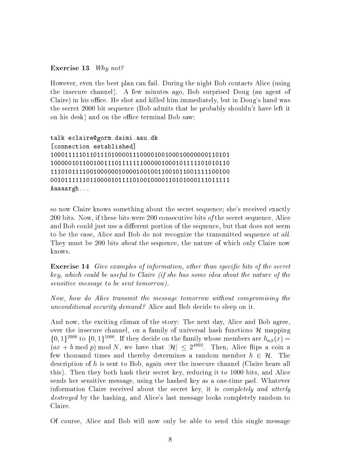Exercise 13 Why not?

However, even the best plan can fail. During the night Bob contacts Alice (using the insecure channel). A few minutes ago, Bob surprised Doug (an agent of Claire) in his office. He shot and killed him immediately, but in Doug's hand was the secret 2000 bit sequence (Bob admits that he probably shouldn't have left it on his desk) and on the office terminal Bob saw:

```
talk eclaire@gorm.daimi.aau.dk
[connection established]
10001111101101110100001110000100100010000000110101
10000010110010011101111111000001000101111101010110
11101011110010000001000010010011001011001111100100
00101111110110000101111010010000110101000111011111
Aaaaargh...
```
so now Claire knows something about the secret sequence; she's received exactly 200 bits. Now, if these bits were 200 consecutive bits of the secret sequence, Alice and Bob could just use a different portion of the sequence, but that does not seem to be the case, Alice and Bob do not recognize the transmitted sequence at all. They must be 200 bits *about* the sequence, the nature of which only Claire now knows.

**Exercise 14** Give examples of information, other than specific bits of the secret key, which could be useful to Claire (if she has some idea about the nature of the sensitive message to be sent tomorrow).

Now, how do Alice transmit the message tomorrow without compromising the unconditional security demand? Alice and Bob decide to sleep on it.

And now, the exciting climax of the story: The next day, Alice and Bob agree, over the insecure channel, on a family of universal hash functions  $H$  mapping  $\{0,1\}^{2000}$  to  $\{0,1\}^{1000}$ . If they decide on the family whose members are  $h_{a,b}(x)$  =  $(ax + b \mod p) \mod N$ , we have that  $|\mathcal{H}| \leq 2^{4002}$ . Then, Alice flips a coin a few thousand times and thereby determines a random member  $h \in \mathcal{H}$ . The description of h is sent to Bob, again over the insecure channel (Claire hears all this). Then they both hash their secret key, reducing it to 1000 bits, and Alice sends her sensitive message, using the hashed key as a one-time pad. Whatever information Claire received about the secret key, it is completely and utterly destroyed by the hashing, and Alice's last message looks completely random to Claire.

Of course, Alice and Bob will now only be able to send this single message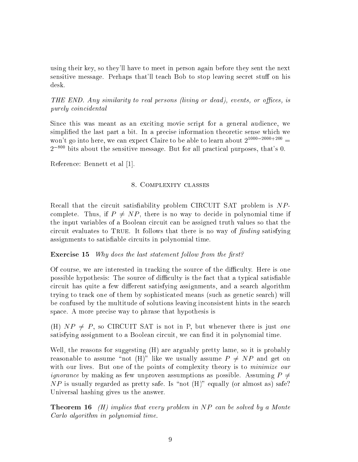using their key, so they'll have to meet in person again before they sent the next sensitive message. Perhaps that'll teach Bob to stop leaving secret stuff on his desk.

THE END. Any similarity to real persons (living or dead), events, or offices, is purely coincidental

Since this was meant as an exciting movie script for a general audience, we simplied the last part a bit. In a precise information theoretic sense which we won't go into here, we can expect Claire to be able to learn about  $2^{1000-2000+200}$  =  $2^{-800}$  bits about the sensitive message. But for all practical purposes, that's 0.

Reference: Bennett et al [1].

### 8. Complexity classes

Recall that the circuit satisfiability problem CIRCUIT SAT problem is  $NP$ complete. Thus, if  $P \neq NP$ , there is no way to decide in polynomial time if the input variables of a Boolean circuit can be assigned truth values so that the circuit evaluates to TRUE. It follows that there is no way of  $finding$  satisfying assignments to satisfiable circuits in polynomial time.

**Exercise 15** Why does the last statement follow from the first?

Of course, we are interested in tracking the source of the difficulty. Here is one possible hypothesis: The source of difficulty is the fact that a typical satisfiable circuit has quite a few different satisfying assignments, and a search algorithm trying to track one of them by sophisticated means (such as genetic search) will be confused by the multitude of solutions leaving inconsistent hints in the search space. A more precise way to phrase that hypothesis is

(H)  $NP \neq P$ , so CIRCUIT SAT is not in P, but whenever there is just one satisfying assignment to a Boolean circuit, we can find it in polynomial time.

Well, the reasons for suggesting (H) are arguably pretty lame, so it is probably reasonable to assume "not (H)" like we usually assume  $P \neq NP$  and get on with our lives. But one of the points of complexity theory is to *minimize our ignorance* by making as few unproven assumptions as possible. Assuming  $P \neq$  $NP$  is usually regarded as pretty safe. Is "not  $(H)$ " equally (or almost as) safe? Universal hashing gives us the answer.

**Theorem 16** (H) implies that every problem in  $NP$  can be solved by a Monte Carlo algorithm in polynomial time.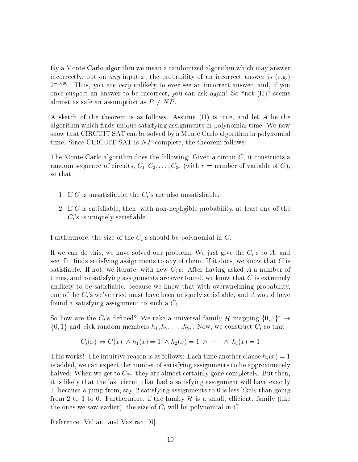By a Monte Carlo algorithm we mean a randomized algorithm which may answer incorrectly, but on *any* input x, the probability of an incorrect answer is  $(e.g.)$  $2$   $1000$  are very unlikely to ever see an incorrect answer, and, if you once suspect an answer to be incorrect, you can ask again! So "not  $(H)$ " seems almost as safe an assumption as  $P \neq NP$ .

A sketch of the theorem is as follows: Assume (H) is true, and let A be the algorithm which finds unique satisfying assignments in polynomial time. We now show that CIRCUIT SAT can be solved by a Monte Carlo algorithm in polynomial time. Since CIRCUIT SAT is NP-complete, the theorem follows.

The Monte Carlo algorithm does the following: Given a circuit  $C$ , it constructs a random sequence of circuits,  $C_1, C_2, \ldots, C_{2r}$  (with  $r =$  number of variable of C), so that

- 1. If C is unsatisfiable, the  $C_i$ 's are also unsatisfiable.
- 2. If  $C$  is satisfiable, then, with non-negligible probability, at least one of the  $C_i$ 's is uniquely satisfiable.

Furthermore, the size of the  $C_i$ 's should be polynomial in  $C$ .

If we can do this, we have solved our problem: We just give the  $C_i$ 's to A, and see if it finds satisfying assignments to any of them. If it does, we know that  $C$  is satisfiable. If not, we iterate, with new  $C_i$ 's. After having asked A a number of times, and no satisfying assignments are ever found, we know that  $C$  is extremely unlikely to be satisfiable, because we know that with overwhelming probability. one of the  $C_i$ 's we've tried must have been uniquely satisfiable, and A would have found a satisfying assignment to such a  $C_i$ .

So how are the  $C_i$ 's defined? We take a universal family  $\mathcal H$  mapping  $\{0,1\}^r \to$  $\{0,1\}$  and pick random members  $h_1, h_2, \ldots, h_{2r}$ . Now, we construct  $C_i$  so that

$$
C_i(x) \Leftrightarrow C(x) \wedge h_1(x) = 1 \wedge h_2(x) = 1 \wedge \cdots \wedge h_i(x) = 1
$$

This works! The intuitive reason is as follows: Each time another clause  $h_i(x) = 1$ is added, we can expect the number of satisfying assignments to be approximately halved. When we get to  $C_{2r}$ , they are almost certainly gone completely. But then, it is likely that the last circuit that had a satisfying assignment will have exactly 1, because a jump from, say, 2 satisfying assignments to 0 is less likely than going from 2 to 1 to 0. Furthermore, if the family  $\mathcal{H}$  is a small, efficient, family (like the ones we saw earlier), the size of  $C_i$  will be polynomial in  $C$ .

Reference: Valiant and Vazirani [6].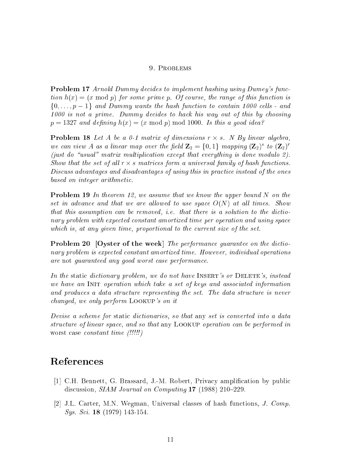#### 9. PROBLEMS

Problem <sup>17</sup> Arnold Dummy decides to implement hashing using Dumey's function  $h(x) = (x \mod p)$  for some prime p. Of course, the range of this function is  $\{0,\ldots,p-1\}$  and Dummy wants the hash function to contain 1000 cells - and 1000 is not a prime. Dummy decides to hack his way out of this by choosing  $p = 1327$  and defining  $h(x) = (x \mod p) \mod 1000$ . Is this a good idea?

**Problem 18** Let A be a 0-1 matrix of dimensions  $r \times s$ . N By linear algebra, we can view A as a linear map over the field  $\mathbf{Z}_2 = \{0,1\}$  mapping  $(\mathbf{Z}_2)^s$  to  $(\mathbf{Z}_2)^r$ (just do "usual" matrix multiplication except that everything is done modulo 2). Show that the set of all  $r \times s$  matrices form a universal family of hash functions. Discuss advantages and disadvantages of using this in practice instead of the ones based on integer arithmetic.

**Problem 19** In theorem 12, we assume that we know the upper bound N on the set in advance and that we are allowed to use space  $O(N)$  at all times. Show that this assumption can be removed, i.e. that there is a solution to the dictionary problem with expected constant amortized time per operation and using space which is, at any given time, proportional to the current size of the set.

Problem <sup>20</sup> [Oyster of the week] The performance guarantee on the dictionary problem is expected constant amortized time. However, individual operations are not guaranteed any good worst case performance.

In the static dictionary problem, we do not have INSERT's or DELETE's, instead we have an INIT operation which take a set of keys and associated information and produces a data structure representing the set. The data structure is never changed, we only perform Lookup's on it

Devise a scheme for static dictionaries, so that any set is converted into a data structure of linear space, and so that any Lookup operation can be performed in worst case *constant time* (!!!!!)

# References

- [1] C.H. Bennett, G. Brassard, J.-M. Robert, Privacy amplication by public discussion,  $SIAM\ Journal\ on\ Computing\ 17\ (1988)\ 210-229.$
- [2] J.L. Carter, M.N. Wegman, Universal classes of hash functions, J. Comp. Sys. Sci. <sup>18</sup> (1979) 143-154.